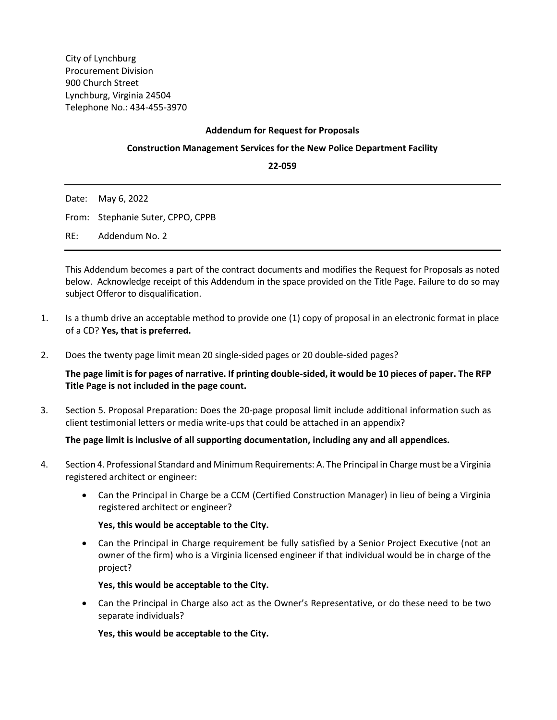City of Lynchburg Procurement Division 900 Church Street Lynchburg, Virginia 24504 Telephone No.: 434-455-3970

# **Addendum for Request for Proposals**

## **Construction Management Services for the New Police Department Facility**

**22-059**

|     | Date: May 6, 2022                 |
|-----|-----------------------------------|
|     | From: Stephanie Suter, CPPO, CPPB |
| RE: | Addendum No. 2                    |

This Addendum becomes a part of the contract documents and modifies the Request for Proposals as noted below. Acknowledge receipt of this Addendum in the space provided on the Title Page. Failure to do so may subject Offeror to disqualification.

- 1. Is a thumb drive an acceptable method to provide one (1) copy of proposal in an electronic format in place of a CD? **Yes, that is preferred.**
- 2. Does the twenty page limit mean 20 single-sided pages or 20 double-sided pages?

**The page limit is for pages of narrative. If printing double-sided, it would be 10 pieces of paper. The RFP Title Page is not included in the page count.**

3. Section 5. Proposal Preparation: Does the 20-page proposal limit include additional information such as client testimonial letters or media write-ups that could be attached in an appendix?

## **The page limit is inclusive of all supporting documentation, including any and all appendices.**

- 4. Section 4. Professional Standard and Minimum Requirements: A. The Principal in Charge must be a Virginia registered architect or engineer:
	- Can the Principal in Charge be a CCM (Certified Construction Manager) in lieu of being a Virginia registered architect or engineer?

## **Yes, this would be acceptable to the City.**

• Can the Principal in Charge requirement be fully satisfied by a Senior Project Executive (not an owner of the firm) who is a Virginia licensed engineer if that individual would be in charge of the project?

**Yes, this would be acceptable to the City.**

• Can the Principal in Charge also act as the Owner's Representative, or do these need to be two separate individuals?

**Yes, this would be acceptable to the City.**